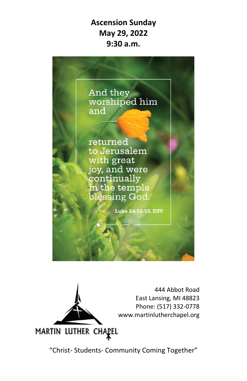**Ascension Sunday May 29, 2022 9:30 a.m.**





"Christ- Students- Community Coming Together"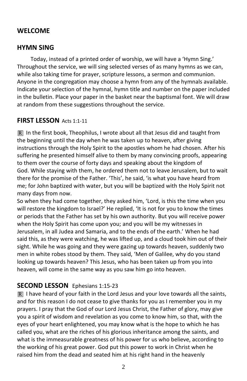## **WELCOME**

### **HYMN SING**

Today, instead of a printed order of worship, we will have a 'Hymn Sing.' Throughout the service, we will sing selected verses of as many hymns as we can, while also taking time for prayer, scripture lessons, a sermon and communion. Anyone in the congregation may choose a hymn from any of the hymnals available. Indicate your selection of the hymnal, hymn title and number on the paper included in the bulletin. Place your paper in the basket near the baptismal font. We will draw at random from these suggestions throughout the service.

#### **FIRST LESSON** Acts 1:1-11

In the first book, Theophilus, I wrote about all that Jesus did and taught from the beginning until the day when he was taken up to heaven, after giving instructions through the Holy Spirit to the apostles whom he had chosen. After his suffering he presented himself alive to them by many convincing proofs, appearing to them over the course of forty days and speaking about the kingdom of God. While staying with them, he ordered them not to leave Jerusalem, but to wait there for the promise of the Father. 'This', he said, 'is what you have heard from me; for John baptized with water, but you will be baptized with the Holy Spirit not many days from now.

So when they had come together, they asked him, 'Lord, is this the time when you will restore the kingdom to Israel?' He replied, 'It is not for you to know the times or periods that the Father has set by his own authority. But you will receive power when the Holy Spirit has come upon you; and you will be my witnesses in Jerusalem, in all Judea and Samaria, and to the ends of the earth.' When he had said this, as they were watching, he was lifted up, and a cloud took him out of their sight. While he was going and they were gazing up towards heaven, suddenly two men in white robes stood by them. They said, 'Men of Galilee, why do you stand looking up towards heaven? This Jesus, who has been taken up from you into heaven, will come in the same way as you saw him go into heaven.

### **SECOND LESSON** Ephesians 1:15-23

 $\overline{R}$  I have heard of your faith in the Lord Jesus and your love towards all the saints, and for this reason I do not cease to give thanks for you as I remember you in my prayers. I pray that the God of our Lord Jesus Christ, the Father of glory, may give you a spirit of wisdom and revelation as you come to know him, so that, with the eyes of your heart enlightened, you may know what is the hope to which he has called you, what are the riches of his glorious inheritance among the saints, and what is the immeasurable greatness of his power for us who believe, according to the working of his great power. God put this power to work in Christ when he raised him from the dead and seated him at his right hand in the heavenly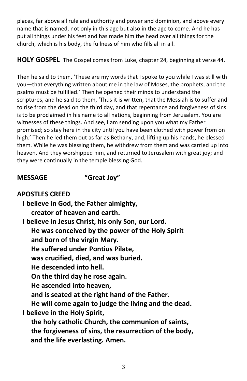places, far above all rule and authority and power and dominion, and above every name that is named, not only in this age but also in the age to come. And he has put all things under his feet and has made him the head over all things for the church, which is his body, the fullness of him who fills all in all.

**HOLY GOSPEL** The Gospel comes from Luke, chapter 24, beginning at verse 44.

Then he said to them, 'These are my words that I spoke to you while I was still with you—that everything written about me in the law of Moses, the prophets, and the psalms must be fulfilled.' Then he opened their minds to understand the scriptures, and he said to them, 'Thus it is written, that the Messiah is to suffer and to rise from the dead on the third day, and that repentance and forgiveness of sins is to be proclaimed in his name to all nations, beginning from Jerusalem. You are witnesses of these things. And see, I am sending upon you what my Father promised; so stay here in the city until you have been clothed with power from on high.' Then he led them out as far as Bethany, and, lifting up his hands, he blessed them. While he was blessing them, he withdrew from them and was carried up into heaven. And they worshipped him, and returned to Jerusalem with great joy; and they were continually in the temple blessing God.

**MESSAGE "Great Joy"**

# **APOSTLES CREED**

**I believe in God, the Father almighty, creator of heaven and earth. I believe in Jesus Christ, his only Son, our Lord. He was conceived by the power of the Holy Spirit and born of the virgin Mary. He suffered under Pontius Pilate, was crucified, died, and was buried. He descended into hell. On the third day he rose again. He ascended into heaven, and is seated at the right hand of the Father. He will come again to judge the living and the dead. I believe in the Holy Spirit, the holy catholic Church, the communion of saints, the forgiveness of sins, the resurrection of the body, and the life everlasting. Amen.**